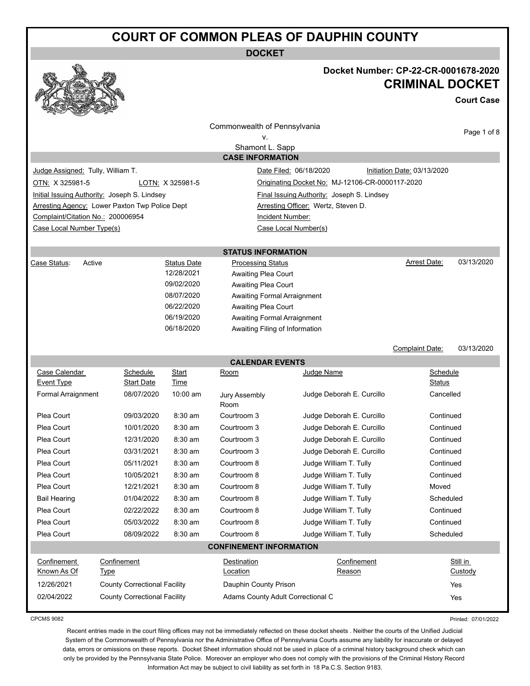**DOCKET**



## **Docket Number: CP-22-CR-0001678-2020 CRIMINAL DOCKET**

**Court Case**

|                                   |                                                |                          | Commonwealth of Pennsylvania                               |                                                 |                             |             |
|-----------------------------------|------------------------------------------------|--------------------------|------------------------------------------------------------|-------------------------------------------------|-----------------------------|-------------|
|                                   |                                                |                          | v.                                                         |                                                 |                             | Page 1 of 8 |
|                                   |                                                |                          | Shamont L. Sapp                                            |                                                 |                             |             |
|                                   |                                                |                          | <b>CASE INFORMATION</b>                                    |                                                 |                             |             |
| Judge Assigned: Tully, William T. |                                                |                          |                                                            | Date Filed: 06/18/2020                          | Initiation Date: 03/13/2020 |             |
| OTN: X 325981-5                   |                                                | LOTN: X 325981-5         |                                                            | Originating Docket No: MJ-12106-CR-0000117-2020 |                             |             |
|                                   | Initial Issuing Authority: Joseph S. Lindsey   |                          |                                                            | Final Issuing Authority: Joseph S. Lindsey      |                             |             |
|                                   | Arresting Agency: Lower Paxton Twp Police Dept |                          |                                                            | Arresting Officer: Wertz, Steven D.             |                             |             |
| Complaint/Citation No.: 200006954 |                                                |                          | Incident Number:                                           |                                                 |                             |             |
| Case Local Number Type(s)         |                                                |                          |                                                            | Case Local Number(s)                            |                             |             |
|                                   |                                                |                          | <b>STATUS INFORMATION</b>                                  |                                                 |                             |             |
| Active<br>Case Status:            |                                                | <b>Status Date</b>       | <b>Processing Status</b>                                   |                                                 | Arrest Date:                | 03/13/2020  |
|                                   |                                                | 12/28/2021               | Awaiting Plea Court                                        |                                                 |                             |             |
|                                   |                                                | 09/02/2020               | Awaiting Plea Court                                        |                                                 |                             |             |
|                                   |                                                | 08/07/2020               | Awaiting Formal Arraignment                                |                                                 |                             |             |
|                                   |                                                | 06/22/2020               | Awaiting Plea Court                                        |                                                 |                             |             |
|                                   |                                                | 06/19/2020<br>06/18/2020 | <b>Awaiting Formal Arraignment</b>                         |                                                 |                             |             |
|                                   |                                                |                          | Awaiting Filing of Information                             |                                                 |                             |             |
|                                   |                                                |                          |                                                            |                                                 | <b>Complaint Date:</b>      | 03/13/2020  |
|                                   |                                                |                          | <b>CALENDAR EVENTS</b>                                     |                                                 |                             |             |
| Case Calendar                     | Schedule                                       | Start                    | Room                                                       | Judge Name                                      | Schedule                    |             |
| Event Type                        | Start Date                                     | Time                     |                                                            |                                                 | Status                      |             |
| Formal Arraignment                | 08/07/2020                                     | 10:00 am                 | Jury Assembly<br>Room                                      | Judge Deborah E. Curcillo                       | Cancelled                   |             |
| Plea Court                        | 09/03/2020                                     | 8:30 am                  | Courtroom 3                                                | Judge Deborah E. Curcillo                       | Continued                   |             |
| Plea Court                        | 10/01/2020                                     | $8:30$ am                | Courtroom 3                                                | Judge Deborah E. Curcillo                       | Continued                   |             |
| Plea Court                        | 12/31/2020                                     | $8:30$ am                | Courtroom 3                                                | Judge Deborah E. Curcillo                       | Continued                   |             |
| Plea Court                        | 03/31/2021                                     | 8:30 am                  | Courtroom 3                                                | Judge Deborah E. Curcillo                       | Continued                   |             |
| Plea Court                        | 05/11/2021                                     | $8:30$ am                | Courtroom 8                                                | Judge William T. Tully                          | Continued                   |             |
| Plea Court                        | 10/05/2021                                     | $8:30$ am                | Courtroom 8                                                | Judge William T. Tully                          | Continued                   |             |
| Plea Court                        | 12/21/2021                                     | $8:30$ am                | Courtroom 8                                                | Judge William T. Tully                          | Moved                       |             |
| <b>Bail Hearing</b>               | 01/04/2022                                     | 8:30 am                  | Courtroom 8                                                | Judge William T. Tully                          | Scheduled                   |             |
| Plea Court                        | 02/22/2022                                     | 8:30 am                  | Courtroom 8                                                | Judge William T. Tully                          | Continued                   |             |
| Plea Court                        | 05/03/2022                                     | 8:30 am                  | Courtroom 8                                                | Judge William T. Tully                          | Continued                   |             |
| Plea Court                        | 08/09/2022                                     | 8:30 am                  | Courtroom 8                                                | Judge William T. Tully                          | Scheduled                   |             |
|                                   |                                                |                          | <b>CONFINEMENT INFORMATION</b>                             |                                                 |                             |             |
|                                   | Confinement                                    |                          | Destination                                                | Confinement                                     |                             | Still in    |
| Confinement                       | <b>Type</b>                                    |                          | Location                                                   | Reason                                          |                             | Custody     |
| Known As Of                       |                                                |                          |                                                            |                                                 |                             |             |
| 12/26/2021                        | <b>County Correctional Facility</b>            |                          | Dauphin County Prison<br>Adams County Adult Correctional C |                                                 |                             | Yes         |

CPCMS 9082

Printed: 07/01/2022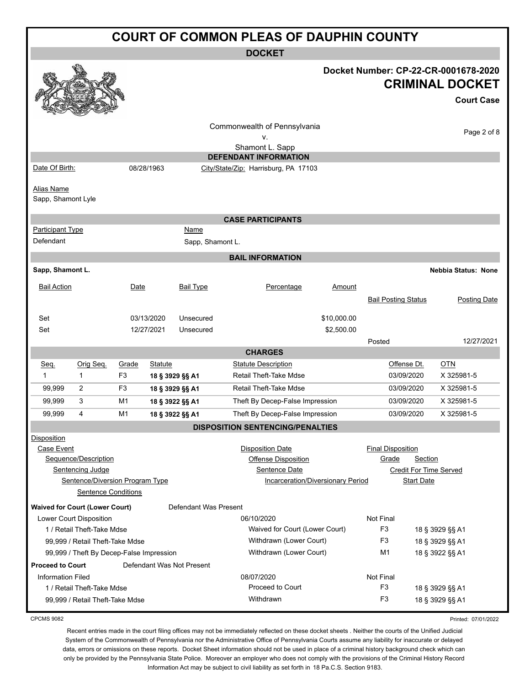| <b>COURT OF COMMON PLEAS OF DAUPHIN COUNTY</b> |                                                                             |                |                          |                           |                                                                                                                                                        |                           |                                   |                              |                                                                                     |
|------------------------------------------------|-----------------------------------------------------------------------------|----------------|--------------------------|---------------------------|--------------------------------------------------------------------------------------------------------------------------------------------------------|---------------------------|-----------------------------------|------------------------------|-------------------------------------------------------------------------------------|
|                                                |                                                                             |                |                          |                           | <b>DOCKET</b>                                                                                                                                          |                           |                                   |                              |                                                                                     |
|                                                |                                                                             |                |                          |                           |                                                                                                                                                        |                           |                                   |                              | Docket Number: CP-22-CR-0001678-2020<br><b>CRIMINAL DOCKET</b><br><b>Court Case</b> |
|                                                |                                                                             |                |                          |                           | Commonwealth of Pennsylvania                                                                                                                           |                           |                                   |                              | Page 2 of 8                                                                         |
|                                                |                                                                             |                |                          |                           | ۷.<br>Shamont L. Sapp                                                                                                                                  |                           |                                   |                              |                                                                                     |
|                                                |                                                                             |                |                          |                           | <b>DEFENDANT INFORMATION</b>                                                                                                                           |                           |                                   |                              |                                                                                     |
| Date Of Birth:                                 |                                                                             |                | 08/28/1963               |                           | City/State/Zip: Harrisburg, PA 17103                                                                                                                   |                           |                                   |                              |                                                                                     |
| Alias Name<br>Sapp, Shamont Lyle               |                                                                             |                |                          |                           |                                                                                                                                                        |                           |                                   |                              |                                                                                     |
|                                                |                                                                             |                |                          |                           | <b>CASE PARTICIPANTS</b>                                                                                                                               |                           |                                   |                              |                                                                                     |
| <b>Participant Type</b><br>Defendant           |                                                                             |                |                          | Name<br>Sapp, Shamont L.  |                                                                                                                                                        |                           |                                   |                              |                                                                                     |
|                                                |                                                                             |                |                          |                           | <b>BAIL INFORMATION</b>                                                                                                                                |                           |                                   |                              |                                                                                     |
| Sapp, Shamont L.                               |                                                                             |                |                          |                           |                                                                                                                                                        |                           |                                   |                              | <b>Nebbia Status: None</b>                                                          |
| <b>Bail Action</b>                             |                                                                             | Date           |                          | <b>Bail Type</b>          | Percentage                                                                                                                                             | Amount                    |                                   |                              |                                                                                     |
|                                                |                                                                             |                |                          |                           |                                                                                                                                                        |                           | <b>Bail Posting Status</b>        |                              | Posting Date                                                                        |
| Set<br>Set                                     |                                                                             |                | 03/13/2020<br>12/27/2021 | Unsecured<br>Unsecured    |                                                                                                                                                        | \$10,000.00<br>\$2,500.00 |                                   |                              |                                                                                     |
|                                                |                                                                             |                |                          |                           |                                                                                                                                                        |                           | Posted                            |                              | 12/27/2021                                                                          |
|                                                |                                                                             |                |                          |                           | <b>CHARGES</b>                                                                                                                                         |                           |                                   |                              |                                                                                     |
| Seq.                                           | Orig Seq.                                                                   | Grade          | Statute                  |                           | <b>Statute Description</b>                                                                                                                             |                           |                                   | Offense Dt.                  | <b>OTN</b>                                                                          |
| 1                                              | $\mathbf{1}$                                                                | F <sub>3</sub> |                          | 18 § 3929 §§ A1           | <b>Retail Theft-Take Mdse</b>                                                                                                                          |                           |                                   | 03/09/2020                   | X 325981-5                                                                          |
| 99,999<br>99.999                               | 2                                                                           | F3             |                          | 18 § 3929 §§ A1           | Retail Theft-Take Mdse                                                                                                                                 |                           |                                   | 03/09/2020                   | X 325981-5<br>X 325981-5                                                            |
|                                                | 3                                                                           | M1             |                          | 18 § 3922 §§ A1           | Theft By Decep-False Impression                                                                                                                        |                           |                                   | 03/09/2020<br>03/09/2020     | X 325981-5                                                                          |
| 99,999                                         | 4                                                                           | M1             |                          | 18 § 3922 §§ A1           | Theft By Decep-False Impression                                                                                                                        |                           |                                   |                              |                                                                                     |
| <b>Disposition</b><br>Case Event               | Sequence/Description<br>Sentencing Judge<br>Sentence/Diversion Program Type |                |                          |                           | <b>DISPOSITION SENTENCING/PENALTIES</b><br><b>Disposition Date</b><br><b>Offense Disposition</b><br>Sentence Date<br>Incarceration/Diversionary Period |                           | <b>Final Disposition</b><br>Grade | Section<br><b>Start Date</b> | <b>Credit For Time Served</b>                                                       |
|                                                | <b>Sentence Conditions</b>                                                  |                |                          |                           |                                                                                                                                                        |                           |                                   |                              |                                                                                     |
|                                                | <b>Waived for Court (Lower Court)</b>                                       |                |                          | Defendant Was Present     |                                                                                                                                                        |                           |                                   |                              |                                                                                     |
|                                                | Lower Court Disposition                                                     |                |                          |                           | 06/10/2020                                                                                                                                             |                           | Not Final                         |                              |                                                                                     |
|                                                | 1 / Retail Theft-Take Mdse                                                  |                |                          |                           | Waived for Court (Lower Court)<br>Withdrawn (Lower Court)                                                                                              |                           | F <sub>3</sub><br>F <sub>3</sub>  |                              | 18 § 3929 §§ A1                                                                     |
|                                                | 99,999 / Retail Theft-Take Mdse                                             |                |                          |                           | Withdrawn (Lower Court)                                                                                                                                |                           | M <sub>1</sub>                    |                              | 18 § 3929 §§ A1<br>18 § 3922 §§ A1                                                  |
| <b>Proceed to Court</b>                        | 99,999 / Theft By Decep-False Impression                                    |                |                          | Defendant Was Not Present |                                                                                                                                                        |                           |                                   |                              |                                                                                     |
| <b>Information Filed</b>                       |                                                                             |                |                          |                           | 08/07/2020                                                                                                                                             |                           | Not Final                         |                              |                                                                                     |
|                                                | 1 / Retail Theft-Take Mdse                                                  |                |                          |                           | Proceed to Court                                                                                                                                       |                           | F <sub>3</sub>                    |                              | 18 § 3929 §§ A1                                                                     |
|                                                | 99,999 / Retail Theft-Take Mdse                                             |                |                          |                           | Withdrawn                                                                                                                                              |                           | F <sub>3</sub>                    |                              | 18 § 3929 §§ A1                                                                     |

CPCMS 9082

Printed: 07/01/2022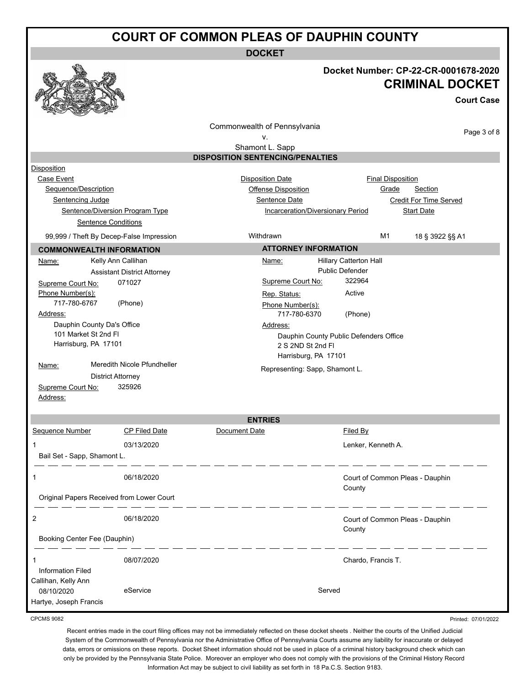**DOCKET**



### **Docket Number: CP-22-CR-0001678-2020 CRIMINAL DOCKET**

**Court Case**

Printed: 07/01/2022

|                              |                                                               | Commonwealth of Pennsylvania            |                                          |                                 |                 |  |
|------------------------------|---------------------------------------------------------------|-----------------------------------------|------------------------------------------|---------------------------------|-----------------|--|
|                              |                                                               | ٧.                                      |                                          |                                 | Page 3 of 8     |  |
|                              |                                                               | Shamont L. Sapp                         |                                          |                                 |                 |  |
|                              |                                                               | <b>DISPOSITION SENTENCING/PENALTIES</b> |                                          |                                 |                 |  |
| Disposition                  |                                                               |                                         |                                          |                                 |                 |  |
| Case Event                   |                                                               | <b>Disposition Date</b>                 |                                          | <b>Final Disposition</b>        |                 |  |
| Sequence/Description         |                                                               | <b>Offense Disposition</b>              |                                          | Grade<br>Section                |                 |  |
| Sentencing Judge             |                                                               | Sentence Date                           |                                          | <b>Credit For Time Served</b>   |                 |  |
|                              | Sentence/Diversion Program Type<br><b>Sentence Conditions</b> |                                         | <b>Incarceration/Diversionary Period</b> | <b>Start Date</b>               |                 |  |
|                              |                                                               |                                         |                                          |                                 |                 |  |
|                              | 99,999 / Theft By Decep-False Impression                      | Withdrawn                               |                                          | M1                              | 18 § 3922 §§ A1 |  |
|                              | <b>COMMONWEALTH INFORMATION</b>                               |                                         | <b>ATTORNEY INFORMATION</b>              |                                 |                 |  |
| Name:                        | Kelly Ann Callihan                                            | Name:                                   | <b>Hillary Catterton Hall</b>            |                                 |                 |  |
|                              | <b>Assistant District Attorney</b>                            |                                         | Public Defender                          |                                 |                 |  |
| Supreme Court No:            | 071027                                                        | Supreme Court No:                       | 322964                                   |                                 |                 |  |
| Phone Number(s):             |                                                               | Rep. Status:                            | Active                                   |                                 |                 |  |
| 717-780-6767<br>Address:     | (Phone)                                                       | Phone Number(s):<br>717-780-6370        | (Phone)                                  |                                 |                 |  |
|                              | Dauphin County Da's Office                                    | Address:                                |                                          |                                 |                 |  |
| 101 Market St 2nd Fl         |                                                               | Dauphin County Public Defenders Office  |                                          |                                 |                 |  |
| Harrisburg, PA 17101         |                                                               | 2 S 2ND St 2nd FI                       |                                          |                                 |                 |  |
|                              |                                                               |                                         | Harrisburg, PA 17101                     |                                 |                 |  |
| Name:                        | Meredith Nicole Pfundheller                                   | Representing: Sapp, Shamont L.          |                                          |                                 |                 |  |
|                              | <b>District Attorney</b>                                      |                                         |                                          |                                 |                 |  |
| Supreme Court No:            | 325926                                                        |                                         |                                          |                                 |                 |  |
| Address:                     |                                                               |                                         |                                          |                                 |                 |  |
|                              |                                                               | <b>ENTRIES</b>                          |                                          |                                 |                 |  |
| Sequence Number              | <b>CP Filed Date</b>                                          | Document Date                           | Filed By                                 |                                 |                 |  |
| 1                            | 03/13/2020                                                    |                                         |                                          |                                 |                 |  |
|                              |                                                               |                                         |                                          | Lenker, Kenneth A.              |                 |  |
| Bail Set - Sapp, Shamont L.  |                                                               |                                         |                                          |                                 |                 |  |
| 1                            | 06/18/2020                                                    |                                         |                                          | Court of Common Pleas - Dauphin |                 |  |
|                              |                                                               |                                         | County                                   |                                 |                 |  |
|                              | Original Papers Received from Lower Court                     |                                         |                                          |                                 |                 |  |
|                              |                                                               |                                         |                                          |                                 |                 |  |
| 2                            | 06/18/2020                                                    |                                         | County                                   | Court of Common Pleas - Dauphin |                 |  |
| Booking Center Fee (Dauphin) |                                                               |                                         |                                          |                                 |                 |  |
|                              |                                                               |                                         |                                          |                                 |                 |  |
| 1                            | 08/07/2020                                                    |                                         |                                          | Chardo, Francis T.              |                 |  |
| <b>Information Filed</b>     |                                                               |                                         |                                          |                                 |                 |  |
| Callihan, Kelly Ann          |                                                               |                                         |                                          |                                 |                 |  |
| 08/10/2020                   | eService                                                      |                                         | Served                                   |                                 |                 |  |
| Hartye, Joseph Francis       |                                                               |                                         |                                          |                                 |                 |  |

CPCMS 9082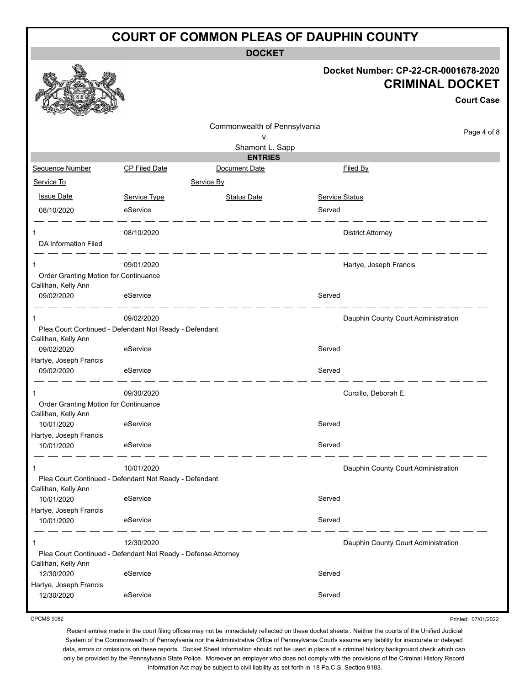**DOCKET**

### **Docket Number: CP-22-CR-0001678-2020 CRIMINAL DOCKET**

**Court Case**

|                                                              |                                                               |                                   |                       | <b>Court Case</b>                   |  |
|--------------------------------------------------------------|---------------------------------------------------------------|-----------------------------------|-----------------------|-------------------------------------|--|
|                                                              |                                                               | Commonwealth of Pennsylvania      |                       | Page 4 of 8                         |  |
|                                                              |                                                               | ۷.                                |                       |                                     |  |
|                                                              |                                                               | Shamont L. Sapp<br><b>ENTRIES</b> |                       |                                     |  |
| Sequence Number                                              | <b>CP Filed Date</b>                                          | Document Date                     |                       | Filed By                            |  |
| Service To                                                   |                                                               | Service By                        |                       |                                     |  |
| <b>Issue Date</b>                                            | Service Type                                                  | <b>Status Date</b>                | <b>Service Status</b> |                                     |  |
| 08/10/2020                                                   | eService                                                      |                                   | Served                |                                     |  |
|                                                              | 08/10/2020                                                    |                                   |                       | <b>District Attorney</b>            |  |
| DA Information Filed                                         |                                                               |                                   |                       |                                     |  |
|                                                              | 09/01/2020                                                    |                                   |                       | Hartye, Joseph Francis              |  |
| Order Granting Motion for Continuance<br>Callihan, Kelly Ann |                                                               |                                   |                       |                                     |  |
| 09/02/2020                                                   | eService                                                      |                                   | Served                |                                     |  |
| 1                                                            | 09/02/2020                                                    |                                   |                       | Dauphin County Court Administration |  |
| Callihan, Kelly Ann                                          | Plea Court Continued - Defendant Not Ready - Defendant        |                                   |                       |                                     |  |
| 09/02/2020                                                   | eService                                                      |                                   | Served                |                                     |  |
| Hartye, Joseph Francis                                       |                                                               |                                   |                       |                                     |  |
| 09/02/2020                                                   | eService                                                      |                                   | Served                |                                     |  |
| 1                                                            | 09/30/2020                                                    |                                   |                       | Curcillo, Deborah E.                |  |
| Order Granting Motion for Continuance<br>Callihan, Kelly Ann |                                                               |                                   |                       |                                     |  |
| 10/01/2020                                                   | eService                                                      |                                   | Served                |                                     |  |
| Hartye, Joseph Francis<br>10/01/2020                         | eService                                                      |                                   | Served                |                                     |  |
| 1                                                            | 10/01/2020                                                    |                                   |                       | Dauphin County Court Administration |  |
| Callihan, Kelly Ann                                          | Plea Court Continued - Defendant Not Ready - Defendant        |                                   |                       |                                     |  |
| 10/01/2020                                                   | eService                                                      |                                   | Served                |                                     |  |
| Hartye, Joseph Francis<br>10/01/2020                         | eService                                                      |                                   | Served                |                                     |  |
| 1                                                            | 12/30/2020                                                    |                                   |                       | Dauphin County Court Administration |  |
|                                                              | Plea Court Continued - Defendant Not Ready - Defense Attorney |                                   |                       |                                     |  |
| Callihan, Kelly Ann<br>12/30/2020                            | eService                                                      |                                   | Served                |                                     |  |
| Hartye, Joseph Francis<br>12/30/2020                         | eService                                                      |                                   | Served                |                                     |  |
|                                                              |                                                               |                                   |                       |                                     |  |

CPCMS 9082

Printed: 07/01/2022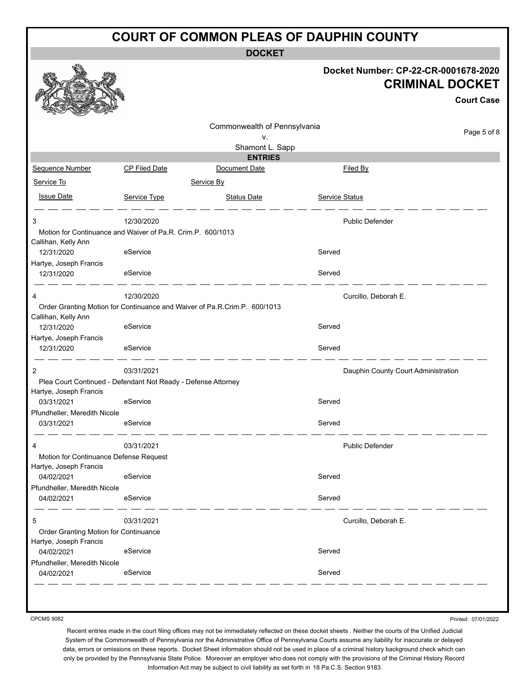**DOCKET**

|                                                                 |                                                               |                                                                           |                       | Docket Number: CP-22-CR-0001678-2020<br><b>CRIMINAL DOCKET</b><br><b>Court Case</b> |
|-----------------------------------------------------------------|---------------------------------------------------------------|---------------------------------------------------------------------------|-----------------------|-------------------------------------------------------------------------------------|
|                                                                 |                                                               | Commonwealth of Pennsylvania                                              |                       |                                                                                     |
|                                                                 |                                                               | v.                                                                        |                       | Page 5 of 8                                                                         |
|                                                                 |                                                               | Shamont L. Sapp<br><b>ENTRIES</b>                                         |                       |                                                                                     |
| Sequence Number                                                 | <b>CP Filed Date</b>                                          | Document Date                                                             |                       | Filed By                                                                            |
| Service To                                                      |                                                               | Service By                                                                |                       |                                                                                     |
|                                                                 |                                                               |                                                                           |                       |                                                                                     |
| <b>Issue Date</b>                                               | Service Type                                                  | <b>Status Date</b>                                                        | <b>Service Status</b> |                                                                                     |
| 3                                                               | 12/30/2020                                                    |                                                                           |                       | <b>Public Defender</b>                                                              |
|                                                                 | Motion for Continuance and Waiver of Pa.R. Crim.P. 600/1013   |                                                                           |                       |                                                                                     |
| Callihan, Kelly Ann<br>12/31/2020                               | eService                                                      |                                                                           | Served                |                                                                                     |
| Hartye, Joseph Francis                                          |                                                               |                                                                           |                       |                                                                                     |
| 12/31/2020                                                      | eService                                                      |                                                                           | Served                |                                                                                     |
| 4                                                               | 12/30/2020                                                    |                                                                           |                       | Curcillo, Deborah E.                                                                |
|                                                                 |                                                               | Order Granting Motion for Continuance and Waiver of Pa.R.Crim.P. 600/1013 |                       |                                                                                     |
| Callihan, Kelly Ann<br>12/31/2020                               | eService                                                      |                                                                           | Served                |                                                                                     |
| Hartye, Joseph Francis                                          |                                                               |                                                                           |                       |                                                                                     |
| 12/31/2020                                                      | eService                                                      |                                                                           | Served                |                                                                                     |
| $\overline{2}$                                                  | 03/31/2021                                                    |                                                                           |                       | Dauphin County Court Administration                                                 |
|                                                                 | Plea Court Continued - Defendant Not Ready - Defense Attorney |                                                                           |                       |                                                                                     |
| Hartye, Joseph Francis                                          | eService                                                      |                                                                           | Served                |                                                                                     |
| 03/31/2021<br>Pfundheller, Meredith Nicole                      |                                                               |                                                                           |                       |                                                                                     |
| 03/31/2021                                                      | eService                                                      |                                                                           | Served                |                                                                                     |
| 4                                                               | 03/31/2021                                                    |                                                                           |                       | <b>Public Defender</b>                                                              |
| Motion for Continuance Defense Request                          |                                                               |                                                                           |                       |                                                                                     |
| Hartye, Joseph Francis                                          |                                                               |                                                                           |                       |                                                                                     |
| 04/02/2021                                                      | eService                                                      |                                                                           | Served                |                                                                                     |
| Pfundheller, Meredith Nicole<br>04/02/2021                      | eService                                                      |                                                                           | Served                |                                                                                     |
| 5                                                               | 03/31/2021                                                    |                                                                           |                       | Curcillo, Deborah E.                                                                |
| Order Granting Motion for Continuance<br>Hartye, Joseph Francis |                                                               |                                                                           |                       |                                                                                     |
| 04/02/2021                                                      | eService                                                      |                                                                           | Served                |                                                                                     |
| Pfundheller, Meredith Nicole                                    |                                                               |                                                                           |                       |                                                                                     |
| 04/02/2021                                                      | eService                                                      |                                                                           | Served                |                                                                                     |

CPCMS 9082

Printed: 07/01/2022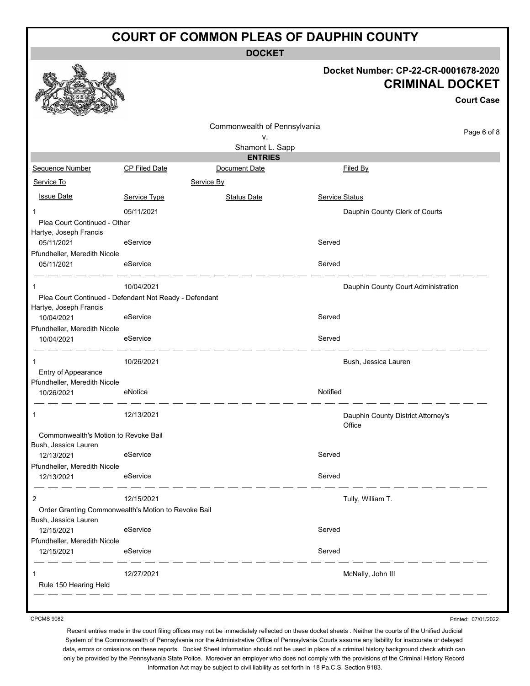**DOCKET**

### **Docket Number: CP-22-CR-0001678-2020 CRIMINAL DOCKET**

**Court Case**

|                                                        |                      |                              |                       | GUULL GASA                                   |             |
|--------------------------------------------------------|----------------------|------------------------------|-----------------------|----------------------------------------------|-------------|
|                                                        |                      | Commonwealth of Pennsylvania |                       |                                              |             |
|                                                        |                      | v.                           |                       |                                              | Page 6 of 8 |
|                                                        |                      | Shamont L. Sapp              |                       |                                              |             |
|                                                        |                      | <b>ENTRIES</b>               |                       |                                              |             |
| Sequence Number                                        | <b>CP Filed Date</b> | Document Date                |                       | Filed By                                     |             |
| Service To                                             |                      | Service By                   |                       |                                              |             |
| <b>Issue Date</b>                                      | Service Type         | <b>Status Date</b>           | <b>Service Status</b> |                                              |             |
| -1                                                     | 05/11/2021           |                              |                       | Dauphin County Clerk of Courts               |             |
| Plea Court Continued - Other<br>Hartye, Joseph Francis |                      |                              |                       |                                              |             |
| 05/11/2021                                             | eService             |                              | Served                |                                              |             |
| Pfundheller, Meredith Nicole                           |                      |                              |                       |                                              |             |
| 05/11/2021                                             | eService             |                              | Served                |                                              |             |
| 1                                                      | 10/04/2021           |                              |                       | Dauphin County Court Administration          |             |
| Plea Court Continued - Defendant Not Ready - Defendant |                      |                              |                       |                                              |             |
| Hartye, Joseph Francis<br>10/04/2021                   | eService             |                              | Served                |                                              |             |
| Pfundheller, Meredith Nicole                           |                      |                              |                       |                                              |             |
| 10/04/2021                                             | eService             |                              | Served                |                                              |             |
|                                                        |                      |                              |                       |                                              |             |
| 1                                                      | 10/26/2021           |                              |                       | Bush, Jessica Lauren                         |             |
| Entry of Appearance<br>Pfundheller, Meredith Nicole    |                      |                              |                       |                                              |             |
| 10/26/2021                                             | eNotice              |                              | Notified              |                                              |             |
| 1                                                      | 12/13/2021           |                              |                       |                                              |             |
|                                                        |                      |                              |                       | Dauphin County District Attorney's<br>Office |             |
| Commonwealth's Motion to Revoke Bail                   |                      |                              |                       |                                              |             |
| Bush, Jessica Lauren                                   |                      |                              |                       |                                              |             |
| 12/13/2021                                             | eService             |                              | Served                |                                              |             |
| Pfundheller, Meredith Nicole                           | eService             |                              | Served                |                                              |             |
| 12/13/2021                                             |                      |                              |                       |                                              |             |
| $\overline{2}$                                         | 12/15/2021           |                              |                       | Tully, William T.                            |             |
| Order Granting Commonwealth's Motion to Revoke Bail    |                      |                              |                       |                                              |             |
| Bush, Jessica Lauren                                   |                      |                              |                       |                                              |             |
| 12/15/2021                                             | eService             |                              | Served                |                                              |             |
| Pfundheller, Meredith Nicole<br>12/15/2021             | eService             |                              | Served                |                                              |             |
|                                                        |                      |                              |                       |                                              |             |
| 1                                                      | 12/27/2021           |                              |                       | McNally, John III                            |             |
| Rule 150 Hearing Held                                  |                      |                              |                       |                                              |             |
|                                                        |                      |                              |                       |                                              |             |

CPCMS 9082

Printed: 07/01/2022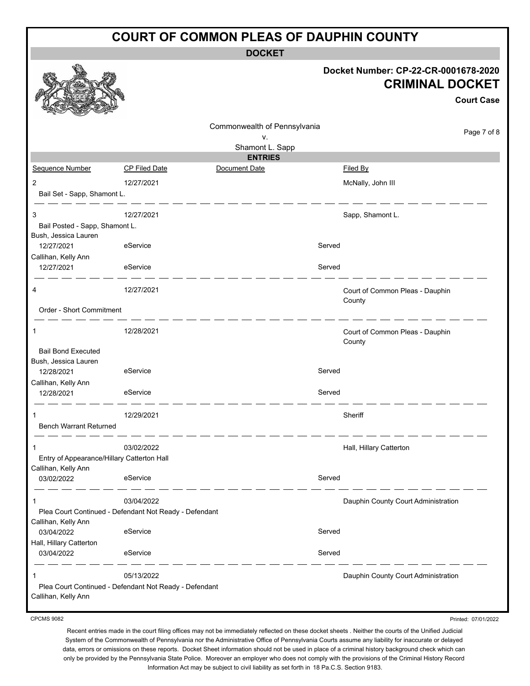**DOCKET**

|                                               |                                                        |                              |        | Docket Number: CP-22-CR-0001678-2020<br><b>CRIMINAL DOCKET</b><br><b>Court Case</b> |
|-----------------------------------------------|--------------------------------------------------------|------------------------------|--------|-------------------------------------------------------------------------------------|
|                                               |                                                        | Commonwealth of Pennsylvania |        |                                                                                     |
|                                               |                                                        | ٧.                           |        | Page 7 of 8                                                                         |
|                                               |                                                        | Shamont L. Sapp              |        |                                                                                     |
|                                               |                                                        | <b>ENTRIES</b>               |        |                                                                                     |
| Sequence Number                               | <b>CP Filed Date</b>                                   | Document Date                |        | Filed By                                                                            |
| $\overline{2}$<br>Bail Set - Sapp, Shamont L. | 12/27/2021                                             |                              |        | McNally, John III                                                                   |
| 3                                             | 12/27/2021                                             |                              |        | Sapp, Shamont L.                                                                    |
| Bail Posted - Sapp, Shamont L.                |                                                        |                              |        |                                                                                     |
| Bush, Jessica Lauren                          | eService                                               |                              | Served |                                                                                     |
| 12/27/2021<br>Callihan, Kelly Ann             |                                                        |                              |        |                                                                                     |
| 12/27/2021                                    | eService                                               |                              | Served |                                                                                     |
| 4                                             | 12/27/2021                                             |                              |        | Court of Common Pleas - Dauphin<br>County                                           |
| Order - Short Commitment                      |                                                        |                              |        |                                                                                     |
| 1                                             | 12/28/2021                                             |                              |        | Court of Common Pleas - Dauphin<br>County                                           |
| <b>Bail Bond Executed</b>                     |                                                        |                              |        |                                                                                     |
| Bush, Jessica Lauren                          |                                                        |                              |        |                                                                                     |
| 12/28/2021                                    | eService                                               |                              | Served |                                                                                     |
| Callihan, Kelly Ann                           |                                                        |                              |        |                                                                                     |
| 12/28/2021                                    | eService                                               |                              | Served |                                                                                     |
|                                               | 12/29/2021                                             |                              |        | Sheriff                                                                             |
| <b>Bench Warrant Returned</b>                 |                                                        |                              |        |                                                                                     |
| $\mathbf{1}$                                  | 03/02/2022                                             |                              |        | Hall, Hillary Catterton                                                             |
| Entry of Appearance/Hillary Catterton Hall    |                                                        |                              |        |                                                                                     |
| Callihan, Kelly Ann<br>03/02/2022             | eService                                               |                              | Served |                                                                                     |
| 1                                             | 03/04/2022                                             |                              |        | Dauphin County Court Administration                                                 |
| Callihan, Kelly Ann                           | Plea Court Continued - Defendant Not Ready - Defendant |                              |        |                                                                                     |
| 03/04/2022                                    | eService                                               |                              | Served |                                                                                     |
| Hall, Hillary Catterton                       |                                                        |                              |        |                                                                                     |
| 03/04/2022                                    | eService                                               |                              | Served |                                                                                     |
| 1                                             | 05/13/2022                                             |                              |        | Dauphin County Court Administration                                                 |
|                                               | Plea Court Continued - Defendant Not Ready - Defendant |                              |        |                                                                                     |
| Callihan, Kelly Ann                           |                                                        |                              |        |                                                                                     |

CPCMS 9082

Printed: 07/01/2022